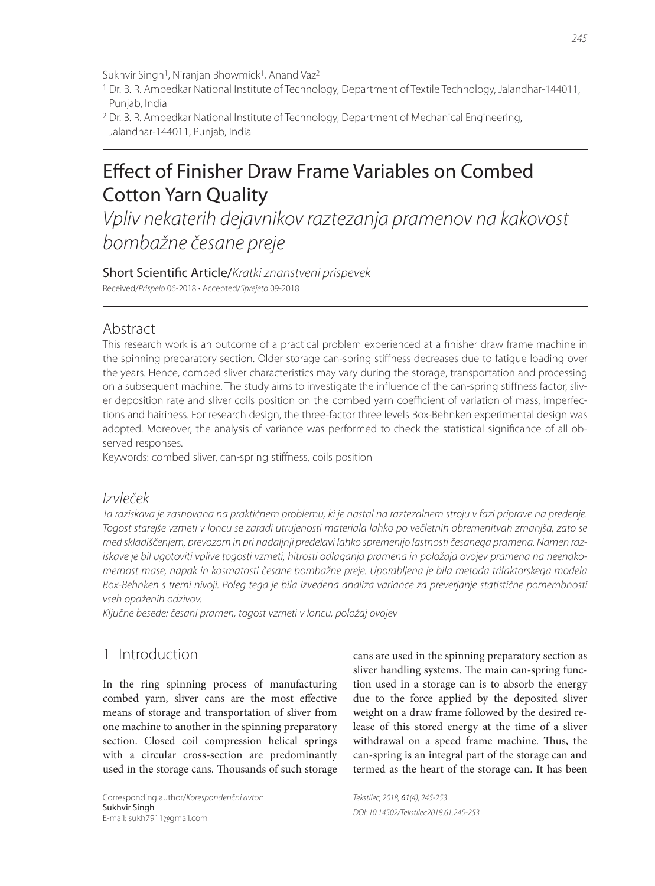Sukhvir Singh<sup>1</sup>, Niranjan Bhowmick<sup>1</sup>, Anand Vaz<sup>2</sup>

- 1 Dr. B. R. Ambedkar National Institute of Technology, Department of Textile Technology, Jalandhar-144011, Punjab, India
- 2 Dr. B. R. Ambedkar National Institute of Technology, Department of Mechanical Engineering, Jalandhar-144011, Punjab, India

# Effect of Finisher Draw Frame Variables on Combed Cotton Yarn Quality

Vpliv nekaterih dejavnikov raztezanja pramenov na kakovost bombažne česane preje

Short Scientific Article/Kratki znanstveni prispevek Received/Prispelo 06-2018 • Accepted/Sprejeto 09-2018

## Abstract

This research work is an outcome of a practical problem experienced at a finisher draw frame machine in the spinning preparatory section. Older storage can-spring stiffness decreases due to fatigue loading over the years. Hence, combed sliver characteristics may vary during the storage, transportation and processing on a subsequent machine. The study aims to investigate the influence of the can-spring stiffness factor, sliver deposition rate and sliver coils position on the combed yarn coefficient of variation of mass, imperfections and hairiness. For research design, the three-factor three levels Box-Behnken experimental design was adopted. Moreover, the analysis of variance was performed to check the statistical significance of all observed responses.

Keywords: combed sliver, can-spring stiffness, coils position

### Izvleček

Ta raziskava je zasnovana na praktičnem problemu, ki je nastal na raztezalnem stroju v fazi priprave na predenje. Togost starejše vzmeti v loncu se zaradi utrujenosti materiala lahko po večletnih obremenitvah zmanjša, zato se med skladiščenjem, prevozom in pri nadaljnji predelavi lahko spremenijo lastnosti česanega pramena. Namen raziskave je bil ugotoviti vplive togosti vzmeti, hitrosti odlaganja pramena in položaja ovojev pramena na neenakomernost mase, napak in kosmatosti česane bombažne preje. Uporabljena je bila metoda trifaktorskega modela Box-Behnken s tremi nivoji. Poleg tega je bila izvedena analiza variance za preverjanje statistične pomembnosti vseh opaženih odzivov.

Ključne besede: česani pramen, togost vzmeti v loncu, položaj ovojev

# 1 Introduction

In the ring spinning process of manufacturing combed yarn, sliver cans are the most effective means of storage and transportation of sliver from one machine to another in the spinning preparatory section. Closed coil compression helical springs with a circular cross-section are predominantly used in the storage cans. Thousands of such storage

Corresponding author/Korespondenčni avtor: Sukhvir Singh E-mail: sukh7911@gmail.com

cans are used in the spinning preparatory section as sliver handling systems. The main can-spring function used in a storage can is to absorb the energy due to the force applied by the deposited sliver weight on a draw frame followed by the desired release of this stored energy at the time of a sliver withdrawal on a speed frame machine. Thus, the can-spring is an integral part of the storage can and termed as the heart of the storage can. It has been

Tekstilec, 2018, 61(4), 245-253 DOI: 10.14502/Tekstilec2018.61.245-253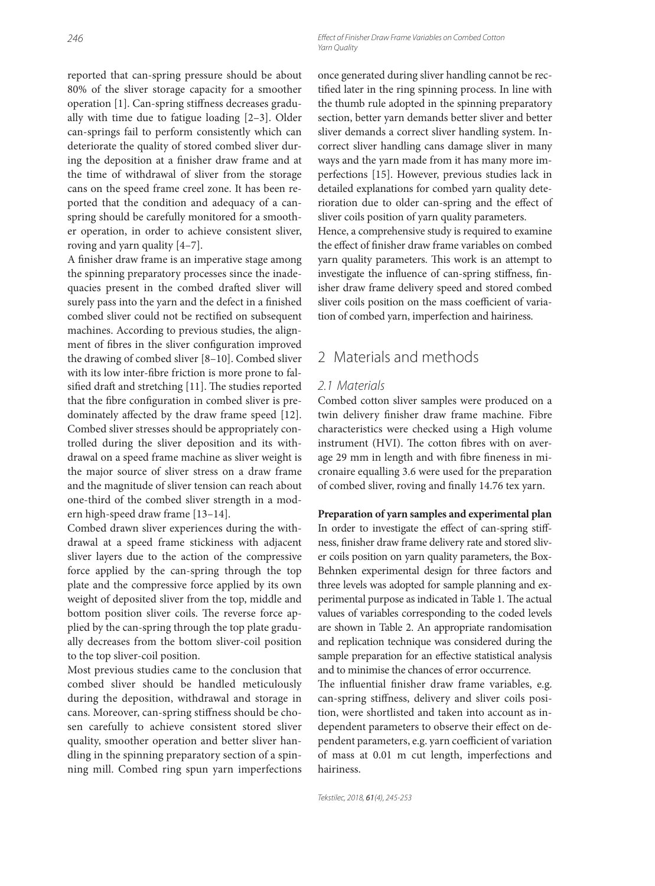246 **246 Effect of Finisher Draw Frame Variables on Combed Cotton** Yarn Quality

reported that can-spring pressure should be about 80% of the sliver storage capacity for a smoother operation [1]. Can-spring stiffness decreases gradually with time due to fatigue loading [2–3]. Older can-springs fail to perform consistently which can deteriorate the quality of stored combed sliver during the deposition at a finisher draw frame and at the time of withdrawal of sliver from the storage cans on the speed frame creel zone. It has been reported that the condition and adequacy of a canspring should be carefully monitored for a smoother operation, in order to achieve consistent sliver, roving and yarn quality [4–7].

A finisher draw frame is an imperative stage among the spinning preparatory processes since the inadequacies present in the combed drafted sliver will surely pass into the yarn and the defect in a finished combed sliver could not be rectified on subsequent machines. According to previous studies, the alignment of fibres in the sliver configuration improved the drawing of combed sliver [8–10]. Combed sliver with its low inter-fibre friction is more prone to falsified draft and stretching [11]. The studies reported that the fibre configuration in combed sliver is predominately affected by the draw frame speed [12]. Combed sliver stresses should be appropriately controlled during the sliver deposition and its withdrawal on a speed frame machine as sliver weight is the major source of sliver stress on a draw frame and the magnitude of sliver tension can reach about one-third of the combed sliver strength in a modern high-speed draw frame [13–14].

Combed drawn sliver experiences during the withdrawal at a speed frame stickiness with adjacent sliver layers due to the action of the compressive force applied by the can-spring through the top plate and the compressive force applied by its own weight of deposited sliver from the top, middle and bottom position sliver coils. The reverse force applied by the can-spring through the top plate gradually decreases from the bottom sliver-coil position to the top sliver-coil position.

Most previous studies came to the conclusion that combed sliver should be handled meticulously during the deposition, withdrawal and storage in cans. Moreover, can-spring stiffness should be chosen carefully to achieve consistent stored sliver quality, smoother operation and better sliver handling in the spinning preparatory section of a spinning mill. Combed ring spun yarn imperfections once generated during sliver handling cannot be rectified later in the ring spinning process. In line with the thumb rule adopted in the spinning preparatory section, better yarn demands better sliver and better sliver demands a correct sliver handling system. Incorrect sliver handling cans damage sliver in many ways and the yarn made from it has many more imperfections [15]. However, previous studies lack in detailed explanations for combed yarn quality deterioration due to older can-spring and the effect of sliver coils position of yarn quality parameters. Hence, a comprehensive study is required to examine the effect of finisher draw frame variables on combed yarn quality parameters. This work is an attempt to investigate the influence of can-spring stiffness, finisher draw frame delivery speed and stored combed sliver coils position on the mass coefficient of variation of combed yarn, imperfection and hairiness.

# 2 Materials and methods

#### 2.1 Materials

Combed cotton sliver samples were produced on a twin delivery finisher draw frame machine. Fibre characteristics were checked using a High volume instrument (HVI). The cotton fibres with on average 29 mm in length and with fibre fineness in micronaire equalling 3.6 were used for the preparation of combed sliver, roving and finally 14.76 tex yarn.

#### **Preparation of yarn samples and experimental plan** In order to investigate the effect of can-spring stiff-

ness, finisher draw frame delivery rate and stored sliver coils position on yarn quality parameters, the Box-Behnken experimental design for three factors and three levels was adopted for sample planning and experimental purpose as indicated in Table 1. The actual values of variables corresponding to the coded levels are shown in Table 2. An appropriate randomisation and replication technique was considered during the sample preparation for an effective statistical analysis and to minimise the chances of error occurrence.

The influential finisher draw frame variables, e.g. can-spring stiffness, delivery and sliver coils position, were shortlisted and taken into account as independent parameters to observe their effect on dependent parameters, e.g. yarn coefficient of variation of mass at 0.01 m cut length, imperfections and hairiness.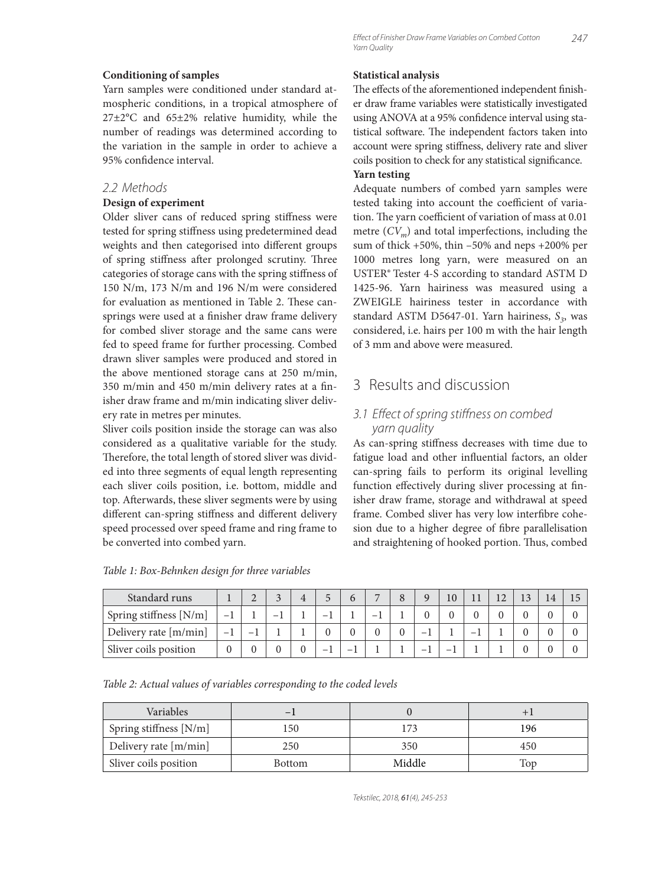#### **Conditioning of samples**

Yarn samples were conditioned under standard atmospheric conditions, in a tropical atmosphere of 27±2°C and 65±2% relative humidity, while the number of readings was determined according to the variation in the sample in order to achieve a 95% confidence interval.

#### 2.2 Methods

#### **Design of experiment**

Older sliver cans of reduced spring stiffness were tested for spring stiffness using predetermined dead weights and then categorised into different groups of spring stiffness after prolonged scrutiny. Three categories of storage cans with the spring stiffness of 150 N/m, 173 N/m and 196 N/m were considered for evaluation as mentioned in Table 2. These cansprings were used at a finisher draw frame delivery for combed sliver storage and the same cans were fed to speed frame for further processing. Combed drawn sliver samples were produced and stored in the above mentioned storage cans at 250 m/min, 350 m/min and 450 m/min delivery rates at a finisher draw frame and m/min indicating sliver delivery rate in metres per minutes.

Sliver coils position inside the storage can was also considered as a qualitative variable for the study. Therefore, the total length of stored sliver was divided into three segments of equal length representing each sliver coils position, i.e. bottom, middle and top. Afterwards, these sliver segments were by using different can-spring stiffness and different delivery speed processed over speed frame and ring frame to be converted into combed yarn.

#### **Statistical analysis**

The effects of the aforementioned independent finisher draw frame variables were statistically investigated using ANOVA at a 95% confidence interval using statistical software. The independent factors taken into account were spring stiffness, delivery rate and sliver coils position to check for any statistical significance.

#### **Yarn testing**

Adequate numbers of combed yarn samples were tested taking into account the coefficient of variation. The yarn coefficient of variation of mass at 0.01 metre  $(CV_m)$  and total imperfections, including the sum of thick +50%, thin –50% and neps +200% per 1000 metres long yarn, were measured on an USTER® Tester 4-S according to standard ASTM D 1425-96. Yarn hairiness was measured using a ZWEIGLE hairiness tester in accordance with standard ASTM D5647-01. Yarn hairiness,  $S_3$ , was considered, i.e. hairs per 100 m with the hair length of 3 mm and above were measured.

# 3 Results and discussion

### 3.1 Effect of spring stiffness on combed yarn quality

As can-spring stiffness decreases with time due to fatigue load and other influential factors, an older can-spring fails to perform its original levelling function effectively during sliver processing at finisher draw frame, storage and withdrawal at speed frame. Combed sliver has very low interfibre cohesion due to a higher degree of fibre parallelisation and straightening of hooked portion. Thus, combed

| Standard runs          |                          |  |   | $\overline{ }$ | 8 | 10 |  |  |  |
|------------------------|--------------------------|--|---|----------------|---|----|--|--|--|
| Spring stiffness [N/m] |                          |  | - |                |   |    |  |  |  |
| Delivery rate [m/min]  | $\overline{\phantom{a}}$ |  |   |                |   |    |  |  |  |
| Sliver coils position  |                          |  | - |                |   |    |  |  |  |

*Table 1: Box-Behnken design for three variables*

*Table 2: Actual values of variables corresponding to the coded levels*

| <b>Variables</b>       | -             |        |      |
|------------------------|---------------|--------|------|
| Spring stiffness [N/m] | .50           |        | l 96 |
| Delivery rate [m/min]  | 250           | 350    | 450  |
| Sliver coils position  | <b>Bottom</b> | Middle | Top  |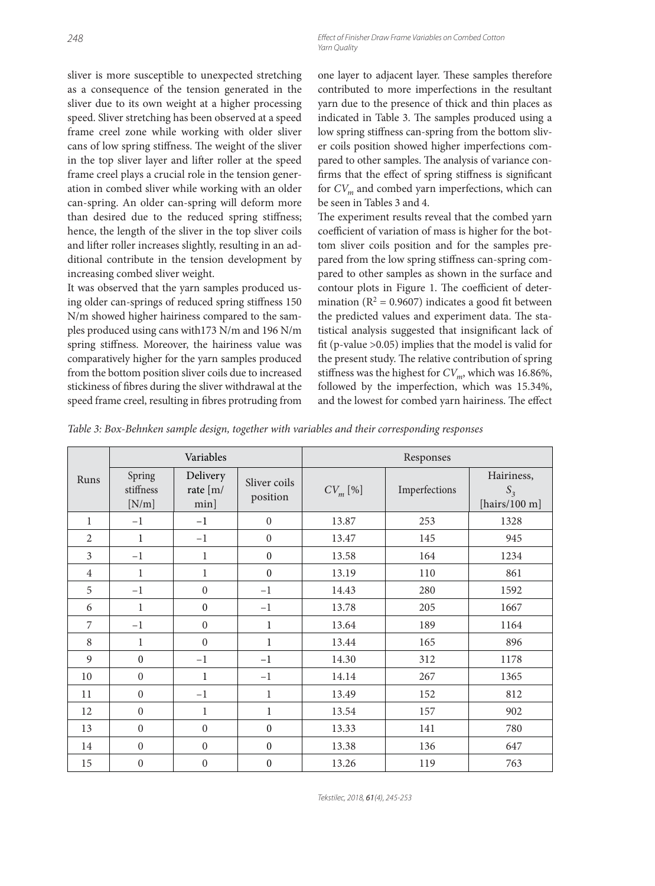sliver is more susceptible to unexpected stretching as a consequence of the tension generated in the sliver due to its own weight at a higher processing speed. Sliver stretching has been observed at a speed frame creel zone while working with older sliver cans of low spring stiffness. The weight of the sliver in the top sliver layer and lifter roller at the speed frame creel plays a crucial role in the tension generation in combed sliver while working with an older can-spring. An older can-spring will deform more than desired due to the reduced spring stiffness; hence, the length of the sliver in the top sliver coils and lifter roller increases slightly, resulting in an additional contribute in the tension development by increasing combed sliver weight.

It was observed that the yarn samples produced using older can-springs of reduced spring stiffness 150 N/m showed higher hairiness compared to the samples produced using cans with173 N/m and 196 N/m spring stiffness. Moreover, the hairiness value was comparatively higher for the yarn samples produced from the bottom position sliver coils due to increased stickiness of fibres during the sliver withdrawal at the speed frame creel, resulting in fibres protruding from

one layer to adjacent layer. These samples therefore contributed to more imperfections in the resultant yarn due to the presence of thick and thin places as indicated in Table 3. The samples produced using a low spring stiffness can-spring from the bottom sliver coils position showed higher imperfections compared to other samples. The analysis of variance confirms that the effect of spring stiffness is significant for  $CV_m$  and combed yarn imperfections, which can be seen in Tables 3 and 4.

The experiment results reveal that the combed yarn coefficient of variation of mass is higher for the bottom sliver coils position and for the samples prepared from the low spring stiffness can-spring compared to other samples as shown in the surface and contour plots in Figure 1. The coefficient of determination ( $R^2 = 0.9607$ ) indicates a good fit between the predicted values and experiment data. The statistical analysis suggested that insignificant lack of fit (p-value  $>0.05$ ) implies that the model is valid for the present study. The relative contribution of spring stiffness was the highest for  $CV_m$ , which was 16.86%, followed by the imperfection, which was 15.34%, and the lowest for combed yarn hairiness. The effect

*Table 3: Box-Behnken sample design, together with variables and their corresponding responses*

|                                      |                  | Variables                       |                          | Responses    |               |                                         |  |  |  |
|--------------------------------------|------------------|---------------------------------|--------------------------|--------------|---------------|-----------------------------------------|--|--|--|
| Spring<br>Runs<br>stiffness<br>[N/m] |                  | Delivery<br>rate [m/<br>$min$ ] | Sliver coils<br>position | $CV_{m}$ [%] | Imperfections | Hairiness,<br>$S_3$<br>[hairs/100 $m$ ] |  |  |  |
| $\mathbf{1}$                         | $-1$             | $-1$                            | $\boldsymbol{0}$         | 13.87        | 253           | 1328                                    |  |  |  |
| $\overline{2}$                       | $\mathbf{1}$     | $-1$                            | $\mathbf{0}$             | 13.47        | 145           | 945                                     |  |  |  |
| 3                                    | $-1$             | 1                               | $\boldsymbol{0}$         | 13.58        | 164           | 1234                                    |  |  |  |
| $\overline{4}$                       | $\mathbf{1}$     | $\mathbf{1}$                    | $\boldsymbol{0}$         | 13.19        | 110           | 861                                     |  |  |  |
| 5                                    | $-1$             | $\overline{0}$                  | $-1$                     | 14.43        | 280           | 1592                                    |  |  |  |
| 6                                    | $\mathbf{1}$     | $\boldsymbol{0}$                | $-1$                     | 13.78        | 205           | 1667                                    |  |  |  |
| $\overline{7}$                       | $-1$             | $\overline{0}$                  | $\mathbf{1}$             | 13.64        | 189           | 1164                                    |  |  |  |
| 8                                    | $\mathbf{1}$     | $\theta$                        | $\mathbf{1}$             | 13.44        | 165           | 896                                     |  |  |  |
| $\mathbf{Q}$                         | $\boldsymbol{0}$ | $-1$                            | $-1$                     | 14.30        | 312           | 1178                                    |  |  |  |
| 10                                   | $\boldsymbol{0}$ | $\mathbf{1}$                    | $-1$                     | 14.14        | 267           | 1365                                    |  |  |  |
| 11                                   | $\boldsymbol{0}$ | $-1$                            | $\mathbf{1}$             | 13.49        | 152           | 812                                     |  |  |  |
| 12                                   | $\overline{0}$   | $\mathbf{1}$                    | $\mathbf{1}$             | 13.54        | 157           | 902                                     |  |  |  |
| 13                                   | $\overline{0}$   | $\overline{0}$                  | $\mathbf{0}$             | 13.33        | 141           | 780                                     |  |  |  |
| 14                                   | $\overline{0}$   | $\overline{0}$                  | $\mathbf{0}$             | 13.38        | 136           | 647                                     |  |  |  |
| 15                                   | $\boldsymbol{0}$ | $\boldsymbol{0}$                | $\boldsymbol{0}$         | 13.26        | 119           | 763                                     |  |  |  |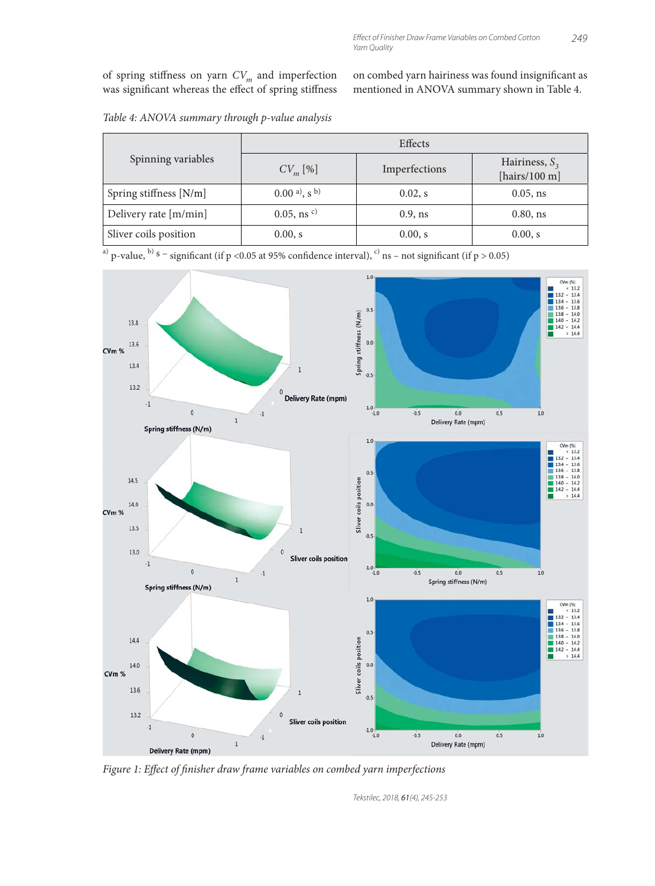of spring stiffness on yarn  ${\cal C}{\cal V}_m$  and imperfection was significant whereas the effect of spring stiffness on combed yarn hairiness was found insignificant as mentioned in ANOVA summary shown in Table 4.

|                        | Effects                     |               |                                      |  |  |  |  |
|------------------------|-----------------------------|---------------|--------------------------------------|--|--|--|--|
| Spinning variables     | $CV_{m}$ [%]                | Imperfections | Hairiness, $S_3$<br>[hairs/100 $m$ ] |  |  |  |  |
| Spring stiffness [N/m] | $(0.00a)$ , s <sup>b)</sup> | $0.02$ , s    | $0.05$ , ns                          |  |  |  |  |
| Delivery rate [m/min]  | $0.05$ , ns $c)$            | $0.9$ , ns    | $0.80$ , ns                          |  |  |  |  |
| Sliver coils position  | 0.00, s                     | 0.00, s       | 0.00, s                              |  |  |  |  |

*Table 4: ANOVA summary through p-value analysis*

a) p-value, b) s – significant (if p <0.05 at 95% confidence interval), c) ns – not significant (if p > 0.05)



Figure 1: Effect of finisher draw frame variables on combed yarn imperfections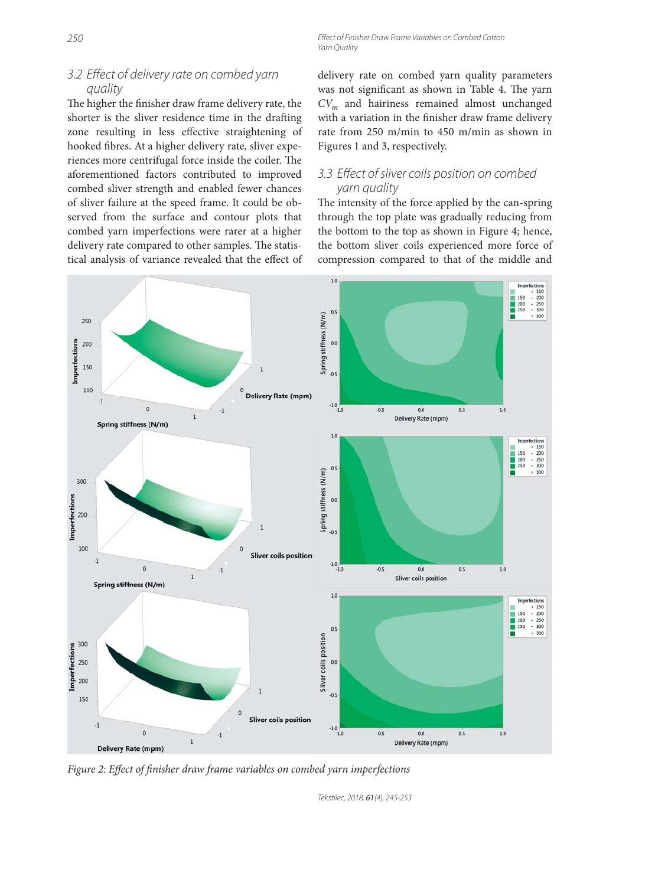# 3.2 Effect of delivery rate on combed yarn quality

The higher the finisher draw frame delivery rate, the shorter is the sliver residence time in the drafting zone resulting in less effective straightening of hooked fibres. At a higher delivery rate, sliver experiences more centrifugal force inside the coiler. The aforementioned factors contributed to improved combed sliver strength and enabled fewer chances of sliver failure at the speed frame. It could be observed from the surface and contour plots that combed yarn imperfections were rarer at a higher delivery rate compared to other samples. The statistical analysis of variance revealed that the effect of delivery rate on combed yarn quality parameters was not significant as shown in Table 4. The yarn *CVm* and hairiness remained almost unchanged with a variation in the finisher draw frame delivery rate from 250 m/min to 450 m/min as shown in Figures 1 and 3, respectively.

## 3.3 Effect of sliver coils position on combed yarn quality

The intensity of the force applied by the can-spring through the top plate was gradually reducing from the bottom to the top as shown in Figure 4; hence, the bottom sliver coils experienced more force of compression compared to that of the middle and



*Figure 2: Effect of finisher draw frame variables on combed yarn imperfections*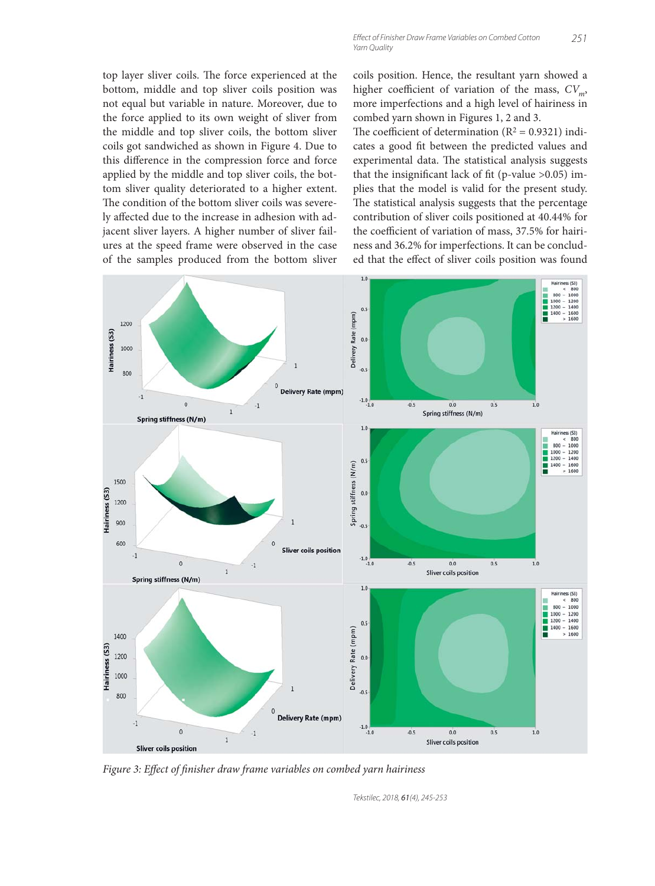top layer sliver coils. The force experienced at the bottom, middle and top sliver coils position was not equal but variable in nature. Moreover, due to the force applied to its own weight of sliver from the middle and top sliver coils, the bottom sliver coils got sandwiched as shown in Figure 4. Due to this difference in the compression force and force applied by the middle and top sliver coils, the bottom sliver quality deteriorated to a higher extent. The condition of the bottom sliver coils was severely affected due to the increase in adhesion with adjacent sliver layers. A higher number of sliver failures at the speed frame were observed in the case of the samples produced from the bottom sliver

coils position. Hence, the resultant yarn showed a higher coefficient of variation of the mass,  $CV<sub>m</sub>$ , more imperfections and a high level of hairiness in combed yarn shown in Figures 1, 2 and 3.

The coefficient of determination ( $R^2 = 0.9321$ ) indicates a good fit between the predicted values and experimental data. The statistical analysis suggests that the insignificant lack of fit (p-value  $>0.05$ ) implies that the model is valid for the present study. The statistical analysis suggests that the percentage contribution of sliver coils positioned at 40.44% for the coefficient of variation of mass, 37.5% for hairiness and 36.2% for imperfections. It can be concluded that the effect of sliver coils position was found



Figure 3: Effect of finisher draw frame variables on combed yarn hairiness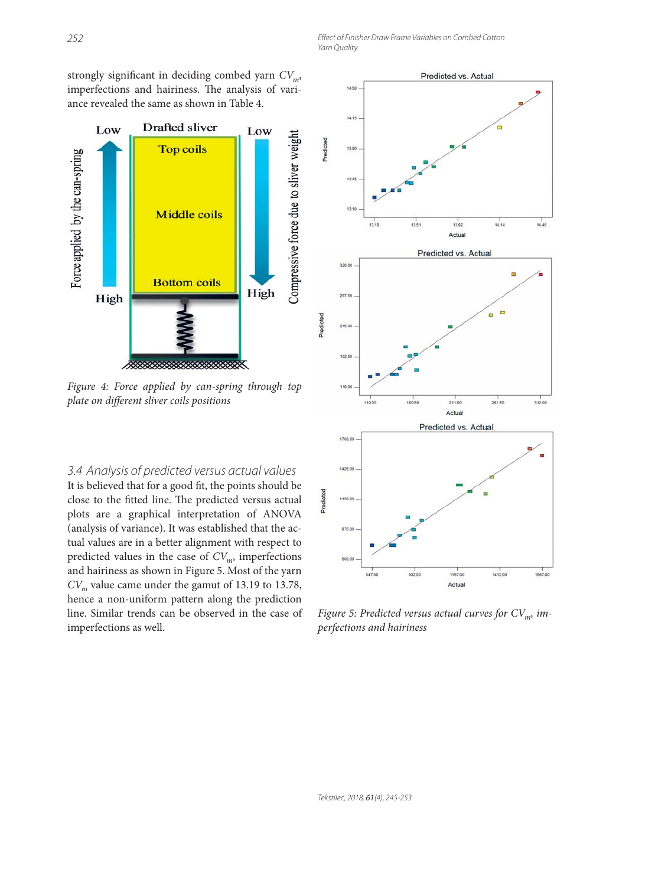252 **Effect of Finisher Draw Frame Variables on Combed Cotton** Yarn Quality

strongly significant in deciding combed yarn  $CV_m$ , imperfections and hairiness. The analysis of variance revealed the same as shown in Table 4.



*Figure 4: Force applied by can-spring through top plate on different sliver coils positions* 

3.4 Analysis of predicted versus actual values It is believed that for a good fit, the points should be close to the fitted line. The predicted versus actual plots are a graphical interpretation of ANOVA (analysis of variance). It was established that the actual values are in a better alignment with respect to predicted values in the case of  $CV_m$ , imperfections and hairiness as shown in Figure 5. Most of the yarn  $CV<sub>m</sub>$  value came under the gamut of 13.19 to 13.78, hence a non-uniform pattern along the prediction line. Similar trends can be observed in the case of imperfections as well.



*Figure 5: Predicted versus actual curves for CV<sub>m</sub>, imperfections and hairiness*